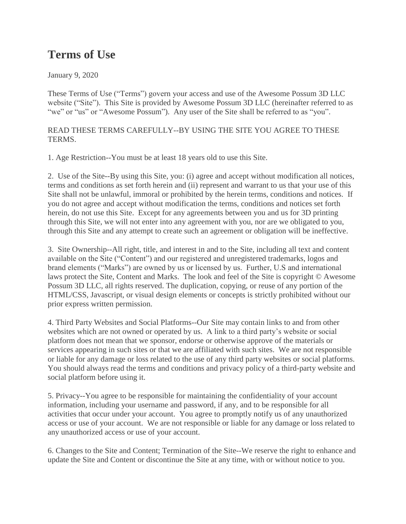## **Terms of Use**

January 9, 2020

These Terms of Use ("Terms") govern your access and use of the Awesome Possum 3D LLC website ("Site"). This Site is provided by Awesome Possum 3D LLC (hereinafter referred to as "we" or "us" or "Awesome Possum"). Any user of the Site shall be referred to as "you".

## READ THESE TERMS CAREFULLY--BY USING THE SITE YOU AGREE TO THESE TERMS.

1. Age Restriction--You must be at least 18 years old to use this Site.

2. Use of the Site--By using this Site, you: (i) agree and accept without modification all notices, terms and conditions as set forth herein and (ii) represent and warrant to us that your use of this Site shall not be unlawful, immoral or prohibited by the herein terms, conditions and notices. If you do not agree and accept without modification the terms, conditions and notices set forth herein, do not use this Site. Except for any agreements between you and us for 3D printing through this Site, we will not enter into any agreement with you, nor are we obligated to you, through this Site and any attempt to create such an agreement or obligation will be ineffective.

3. Site Ownership--All right, title, and interest in and to the Site, including all text and content available on the Site ("Content") and our registered and unregistered trademarks, logos and brand elements ("Marks") are owned by us or licensed by us. Further, U.S and international laws protect the Site, Content and Marks. The look and feel of the Site is copyright © Awesome Possum 3D LLC, all rights reserved. The duplication, copying, or reuse of any portion of the HTML/CSS, Javascript, or visual design elements or concepts is strictly prohibited without our prior express written permission.

4. Third Party Websites and Social Platforms--Our Site may contain links to and from other websites which are not owned or operated by us. A link to a third party's website or social platform does not mean that we sponsor, endorse or otherwise approve of the materials or services appearing in such sites or that we are affiliated with such sites. We are not responsible or liable for any damage or loss related to the use of any third party websites or social platforms. You should always read the terms and conditions and privacy policy of a third-party website and social platform before using it.

5. Privacy--You agree to be responsible for maintaining the confidentiality of your account information, including your username and password, if any, and to be responsible for all activities that occur under your account. You agree to promptly notify us of any unauthorized access or use of your account. We are not responsible or liable for any damage or loss related to any unauthorized access or use of your account.

6. Changes to the Site and Content; Termination of the Site--We reserve the right to enhance and update the Site and Content or discontinue the Site at any time, with or without notice to you.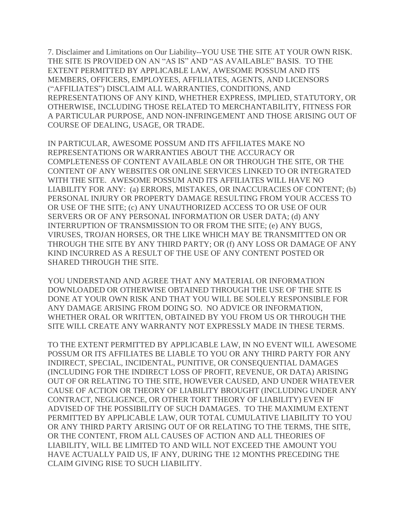7. Disclaimer and Limitations on Our Liability--YOU USE THE SITE AT YOUR OWN RISK. THE SITE IS PROVIDED ON AN "AS IS" AND "AS AVAILABLE" BASIS. TO THE EXTENT PERMITTED BY APPLICABLE LAW, AWESOME POSSUM AND ITS MEMBERS, OFFICERS, EMPLOYEES, AFFILIATES, AGENTS, AND LICENSORS ("AFFILIATES") DISCLAIM ALL WARRANTIES, CONDITIONS, AND REPRESENTATIONS OF ANY KIND, WHETHER EXPRESS, IMPLIED, STATUTORY, OR OTHERWISE, INCLUDING THOSE RELATED TO MERCHANTABILITY, FITNESS FOR A PARTICULAR PURPOSE, AND NON-INFRINGEMENT AND THOSE ARISING OUT OF COURSE OF DEALING, USAGE, OR TRADE.

IN PARTICULAR, AWESOME POSSUM AND ITS AFFILIATES MAKE NO REPRESENTATIONS OR WARRANTIES ABOUT THE ACCURACY OR COMPLETENESS OF CONTENT AVAILABLE ON OR THROUGH THE SITE, OR THE CONTENT OF ANY WEBSITES OR ONLINE SERVICES LINKED TO OR INTEGRATED WITH THE SITE. AWESOME POSSUM AND ITS AFFILIATES WILL HAVE NO LIABILITY FOR ANY: (a) ERRORS, MISTAKES, OR INACCURACIES OF CONTENT; (b) PERSONAL INJURY OR PROPERTY DAMAGE RESULTING FROM YOUR ACCESS TO OR USE OF THE SITE; (c) ANY UNAUTHORIZED ACCESS TO OR USE OF OUR SERVERS OR OF ANY PERSONAL INFORMATION OR USER DATA; (d) ANY INTERRUPTION OF TRANSMISSION TO OR FROM THE SITE; (e) ANY BUGS, VIRUSES, TROJAN HORSES, OR THE LIKE WHICH MAY BE TRANSMITTED ON OR THROUGH THE SITE BY ANY THIRD PARTY; OR (f) ANY LOSS OR DAMAGE OF ANY KIND INCURRED AS A RESULT OF THE USE OF ANY CONTENT POSTED OR SHARED THROUGH THE SITE.

YOU UNDERSTAND AND AGREE THAT ANY MATERIAL OR INFORMATION DOWNLOADED OR OTHERWISE OBTAINED THROUGH THE USE OF THE SITE IS DONE AT YOUR OWN RISK AND THAT YOU WILL BE SOLELY RESPONSIBLE FOR ANY DAMAGE ARISING FROM DOING SO. NO ADVICE OR INFORMATION, WHETHER ORAL OR WRITTEN, OBTAINED BY YOU FROM US OR THROUGH THE SITE WILL CREATE ANY WARRANTY NOT EXPRESSLY MADE IN THESE TERMS.

TO THE EXTENT PERMITTED BY APPLICABLE LAW, IN NO EVENT WILL AWESOME POSSUM OR ITS AFFILIATES BE LIABLE TO YOU OR ANY THIRD PARTY FOR ANY INDIRECT, SPECIAL, INCIDENTAL, PUNITIVE, OR CONSEQUENTIAL DAMAGES (INCLUDING FOR THE INDIRECT LOSS OF PROFIT, REVENUE, OR DATA) ARISING OUT OF OR RELATING TO THE SITE, HOWEVER CAUSED, AND UNDER WHATEVER CAUSE OF ACTION OR THEORY OF LIABILITY BROUGHT (INCLUDING UNDER ANY CONTRACT, NEGLIGENCE, OR OTHER TORT THEORY OF LIABILITY) EVEN IF ADVISED OF THE POSSIBILITY OF SUCH DAMAGES. TO THE MAXIMUM EXTENT PERMITTED BY APPLICABLE LAW, OUR TOTAL CUMULATIVE LIABILITY TO YOU OR ANY THIRD PARTY ARISING OUT OF OR RELATING TO THE TERMS, THE SITE, OR THE CONTENT, FROM ALL CAUSES OF ACTION AND ALL THEORIES OF LIABILITY, WILL BE LIMITED TO AND WILL NOT EXCEED THE AMOUNT YOU HAVE ACTUALLY PAID US, IF ANY, DURING THE 12 MONTHS PRECEDING THE CLAIM GIVING RISE TO SUCH LIABILITY.